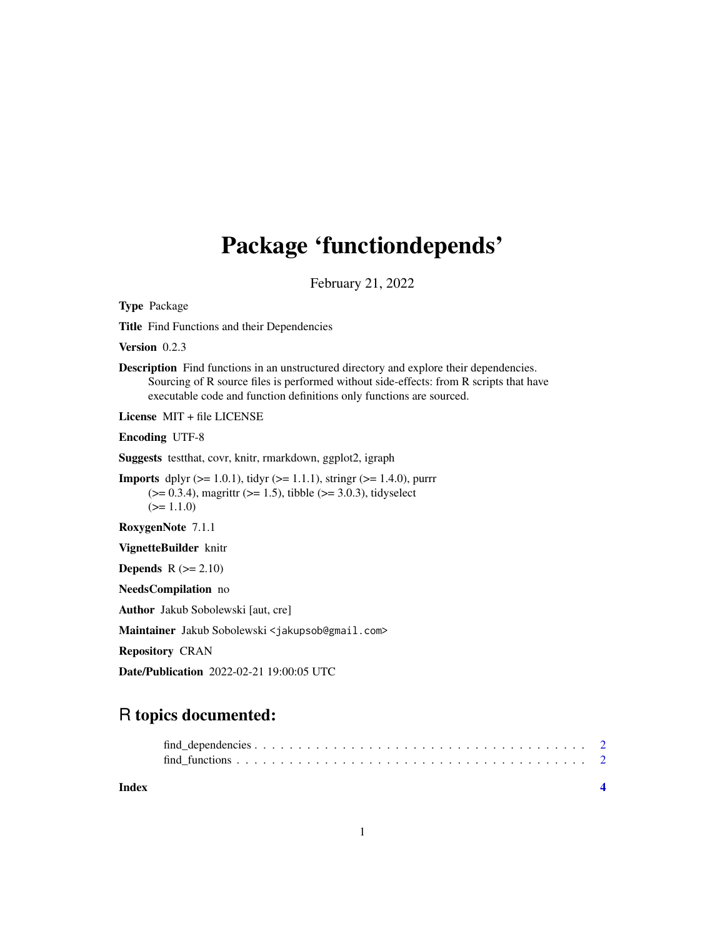## Package 'functiondepends'

February 21, 2022

Type Package

Title Find Functions and their Dependencies

Version 0.2.3

Description Find functions in an unstructured directory and explore their dependencies. Sourcing of R source files is performed without side-effects: from R scripts that have executable code and function definitions only functions are sourced.

License MIT + file LICENSE

Encoding UTF-8

Suggests testthat, covr, knitr, rmarkdown, ggplot2, igraph

**Imports** dplyr  $(>= 1.0.1)$ , tidyr  $(>= 1.1.1)$ , stringr  $(>= 1.4.0)$ , purrr  $(>= 0.3.4)$ , magrittr  $(>= 1.5)$ , tibble  $(>= 3.0.3)$ , tidyselect  $(>= 1.1.0)$ 

RoxygenNote 7.1.1

VignetteBuilder knitr

**Depends**  $R$  ( $>= 2.10$ )

NeedsCompilation no

Author Jakub Sobolewski [aut, cre]

Maintainer Jakub Sobolewski <jakupsob@gmail.com>

Repository CRAN

Date/Publication 2022-02-21 19:00:05 UTC

### R topics documented:

| Index |  |
|-------|--|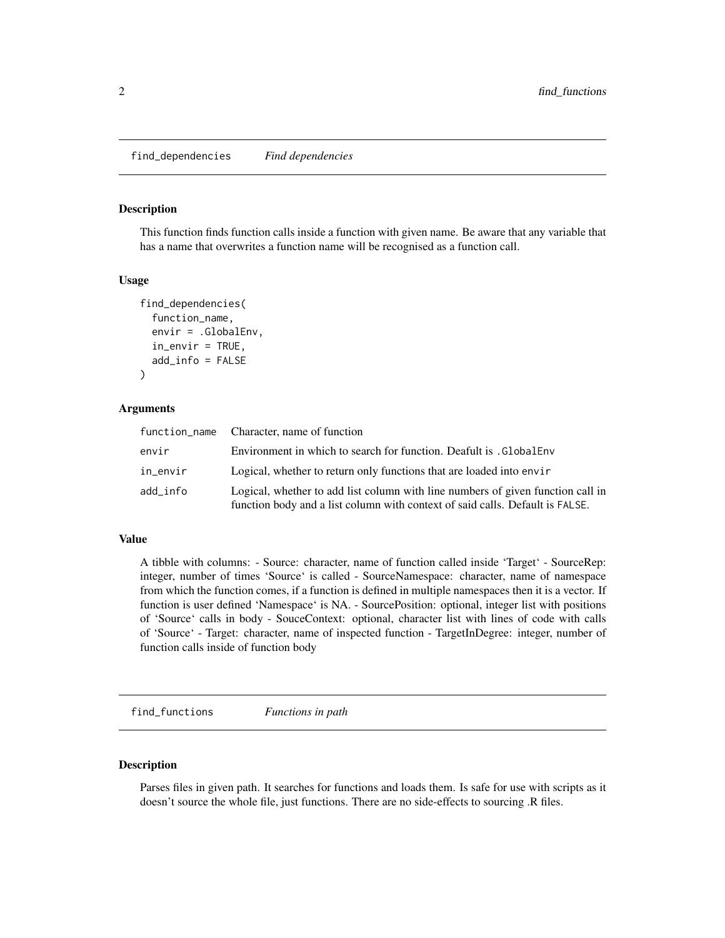#### <span id="page-1-0"></span>**Description**

This function finds function calls inside a function with given name. Be aware that any variable that has a name that overwrites a function name will be recognised as a function call.

#### Usage

```
find_dependencies(
  function_name,
  envir = .GlobalEnv,
  in\_envir = TRUE,add_info = FALSE
)
```
#### Arguments

|          | function_name Character, name of function                                                                                                                        |
|----------|------------------------------------------------------------------------------------------------------------------------------------------------------------------|
| envir    | Environment in which to search for function. Deafult is . GlobalEnv                                                                                              |
| in envir | Logical, whether to return only functions that are loaded into envir                                                                                             |
| add info | Logical, whether to add list column with line numbers of given function call in<br>function body and a list column with context of said calls. Default is FALSE. |

#### Value

A tibble with columns: - Source: character, name of function called inside 'Target' - SourceRep: integer, number of times 'Source' is called - SourceNamespace: character, name of namespace from which the function comes, if a function is defined in multiple namespaces then it is a vector. If function is user defined 'Namespace' is NA. - SourcePosition: optional, integer list with positions of 'Source' calls in body - SouceContext: optional, character list with lines of code with calls of 'Source' - Target: character, name of inspected function - TargetInDegree: integer, number of function calls inside of function body

find\_functions *Functions in path*

#### Description

Parses files in given path. It searches for functions and loads them. Is safe for use with scripts as it doesn't source the whole file, just functions. There are no side-effects to sourcing .R files.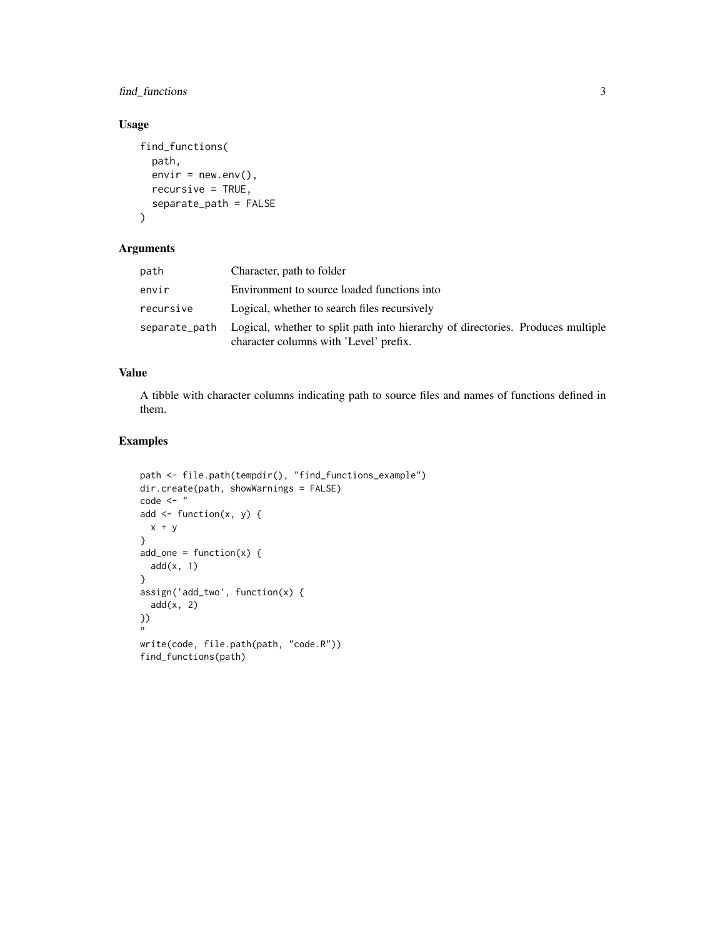#### find\_functions 3

#### Usage

```
find_functions(
  path,
  envir = newenv(),recursive = TRUE,
  separate_path = FALSE
\mathcal{L}
```
#### Arguments

| path      | Character, path to folder                                                                                                               |
|-----------|-----------------------------------------------------------------------------------------------------------------------------------------|
| envir     | Environment to source loaded functions into                                                                                             |
| recursive | Logical, whether to search files recursively                                                                                            |
|           | separate_path Logical, whether to split path into hierarchy of directories. Produces multiple<br>character columns with 'Level' prefix. |

#### Value

A tibble with character columns indicating path to source files and names of functions defined in them.

#### Examples

```
path <- file.path(tempdir(), "find_functions_example")
dir.create(path, showWarnings = FALSE)
code < - "
add \leq function(x, y) {
 x + y}
add\_one = function(x) {
  add(x, 1)
}
assign('add_two', function(x) {
  add(x, 2)
})
"
write(code, file.path(path, "code.R"))
find_functions(path)
```